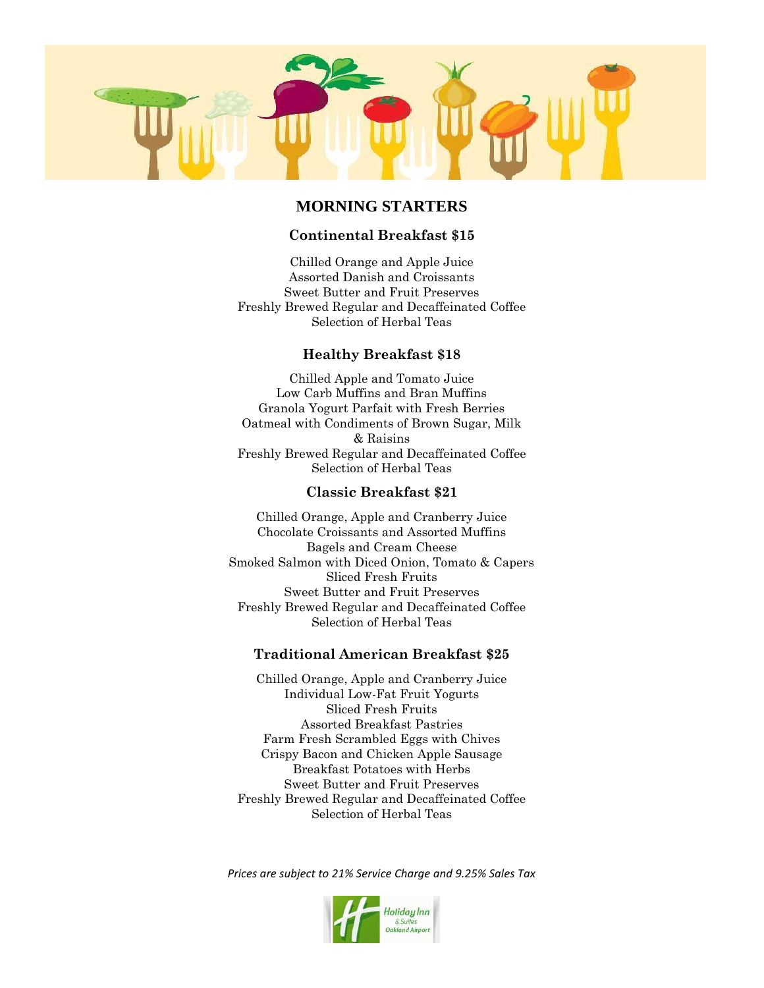

## **MORNING STARTERS**

### **Continental Breakfast \$15**

Chilled Orange and Apple Juice Assorted Danish and Croissants Sweet Butter and Fruit Preserves Freshly Brewed Regular and Decaffeinated Coffee Selection of Herbal Teas

### **Healthy Breakfast \$18**

Chilled Apple and Tomato Juice Low Carb Muffins and Bran Muffins Granola Yogurt Parfait with Fresh Berries Oatmeal with Condiments of Brown Sugar, Milk & Raisins Freshly Brewed Regular and Decaffeinated Coffee Selection of Herbal Teas

#### **Classic Breakfast \$21**

Chilled Orange, Apple and Cranberry Juice Chocolate Croissants and Assorted Muffins Bagels and Cream Cheese Smoked Salmon with Diced Onion, Tomato & Capers Sliced Fresh Fruits Sweet Butter and Fruit Preserves Freshly Brewed Regular and Decaffeinated Coffee Selection of Herbal Teas

#### **Traditional American Breakfast \$25**

Chilled Orange, Apple and Cranberry Juice Individual Low-Fat Fruit Yogurts Sliced Fresh Fruits Assorted Breakfast Pastries Farm Fresh Scrambled Eggs with Chives Crispy Bacon and Chicken Apple Sausage Breakfast Potatoes with Herbs Sweet Butter and Fruit Preserves Freshly Brewed Regular and Decaffeinated Coffee Selection of Herbal Teas

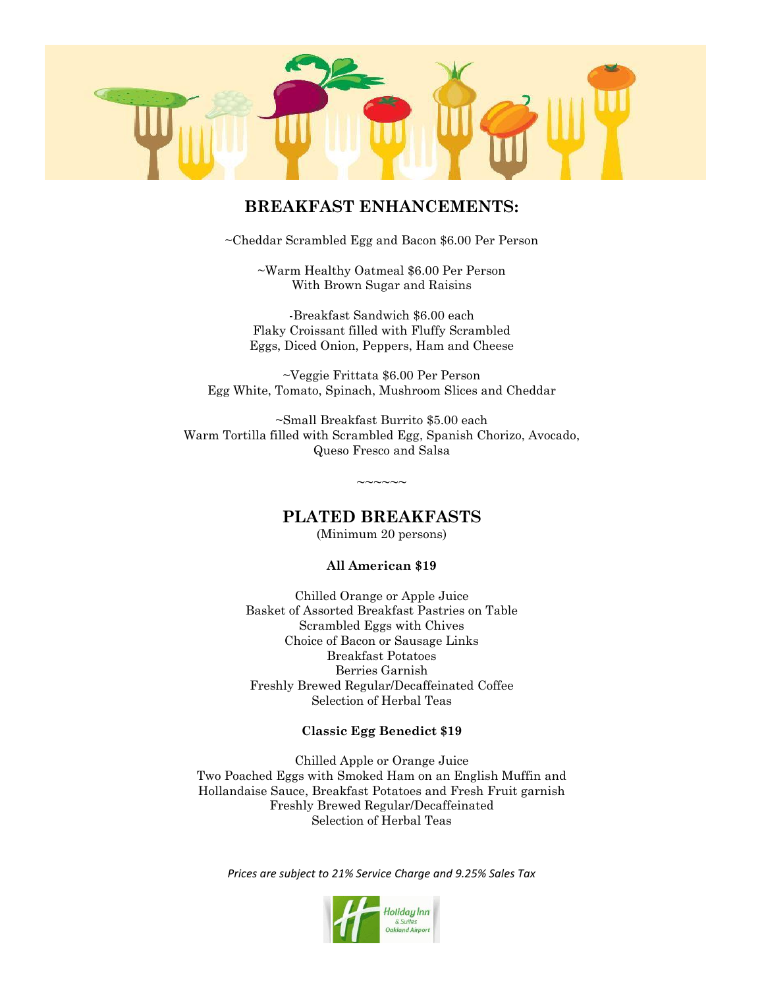

## **BREAKFAST ENHANCEMENTS:**

~Cheddar Scrambled Egg and Bacon \$6.00 Per Person

~Warm Healthy Oatmeal \$6.00 Per Person With Brown Sugar and Raisins

-Breakfast Sandwich \$6.00 each Flaky Croissant filled with Fluffy Scrambled Eggs, Diced Onion, Peppers, Ham and Cheese

~Veggie Frittata \$6.00 Per Person Egg White, Tomato, Spinach, Mushroom Slices and Cheddar

~Small Breakfast Burrito \$5.00 each Warm Tortilla filled with Scrambled Egg, Spanish Chorizo, Avocado, Queso Fresco and Salsa

## **PLATED BREAKFASTS**

 $\sim$  $\sim$  $\sim$  $\sim$  $\sim$ 

(Minimum 20 persons)

#### **All American \$19**

Chilled Orange or Apple Juice Basket of Assorted Breakfast Pastries on Table Scrambled Eggs with Chives Choice of Bacon or Sausage Links Breakfast Potatoes Berries Garnish Freshly Brewed Regular/Decaffeinated Coffee Selection of Herbal Teas

#### **Classic Egg Benedict \$19**

Chilled Apple or Orange Juice Two Poached Eggs with Smoked Ham on an English Muffin and Hollandaise Sauce, Breakfast Potatoes and Fresh Fruit garnish Freshly Brewed Regular/Decaffeinated Selection of Herbal Teas

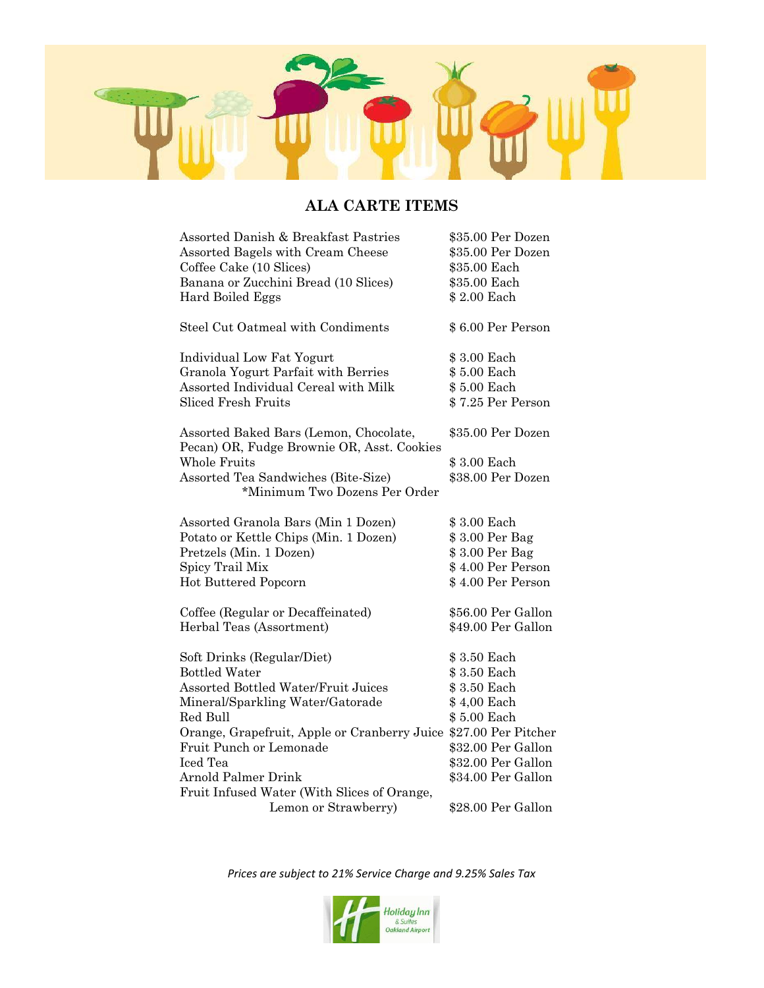

# **ALA CARTE ITEMS**

| Assorted Danish & Breakfast Pastries                                                 | \$35.00 Per Dozen  |
|--------------------------------------------------------------------------------------|--------------------|
| Assorted Bagels with Cream Cheese                                                    | \$35.00 Per Dozen  |
| Coffee Cake (10 Slices)                                                              | \$35.00 Each       |
| Banana or Zucchini Bread (10 Slices)                                                 | \$35.00 Each       |
| Hard Boiled Eggs                                                                     | \$2.00 Each        |
|                                                                                      |                    |
| Steel Cut Oatmeal with Condiments                                                    | \$6.00 Per Person  |
| Individual Low Fat Yogurt                                                            | \$3.00 Each        |
| Granola Yogurt Parfait with Berries                                                  | \$5.00 Each        |
| Assorted Individual Cereal with Milk                                                 | \$5.00 Each        |
| <b>Sliced Fresh Fruits</b>                                                           | \$7.25 Per Person  |
|                                                                                      |                    |
| Assorted Baked Bars (Lemon, Chocolate,<br>Pecan) OR, Fudge Brownie OR, Asst. Cookies | \$35.00 Per Dozen  |
| <b>Whole Fruits</b>                                                                  | \$3.00 Each        |
| Assorted Tea Sandwiches (Bite-Size)                                                  | \$38.00 Per Dozen  |
| *Minimum Two Dozens Per Order                                                        |                    |
|                                                                                      |                    |
| Assorted Granola Bars (Min 1 Dozen)                                                  | \$3.00 Each        |
| Potato or Kettle Chips (Min. 1 Dozen)                                                | \$3.00 Per Bag     |
| Pretzels (Min. 1 Dozen)                                                              | \$3.00 Per Bag     |
| Spicy Trail Mix                                                                      | \$4.00 Per Person  |
| Hot Buttered Popcorn                                                                 | \$4.00 Per Person  |
|                                                                                      |                    |
| Coffee (Regular or Decaffeinated)                                                    | \$56.00 Per Gallon |
| Herbal Teas (Assortment)                                                             | \$49.00 Per Gallon |
|                                                                                      |                    |
| Soft Drinks (Regular/Diet)                                                           | \$3.50 Each        |
| <b>Bottled Water</b>                                                                 | \$3.50 Each        |
| <b>Assorted Bottled Water/Fruit Juices</b>                                           | \$3.50 Each        |
| Mineral/Sparkling Water/Gatorade                                                     | \$4,00 Each        |
| Red Bull                                                                             | \$5.00 Each        |
| Orange, Grapefruit, Apple or Cranberry Juice \$27.00 Per Pitcher                     |                    |
| Fruit Punch or Lemonade                                                              | \$32.00 Per Gallon |
| Iced Tea                                                                             | \$32.00 Per Gallon |
| <b>Arnold Palmer Drink</b>                                                           | \$34.00 Per Gallon |
| Fruit Infused Water (With Slices of Orange,                                          |                    |
| Lemon or Strawberry)                                                                 | \$28.00 Per Gallon |

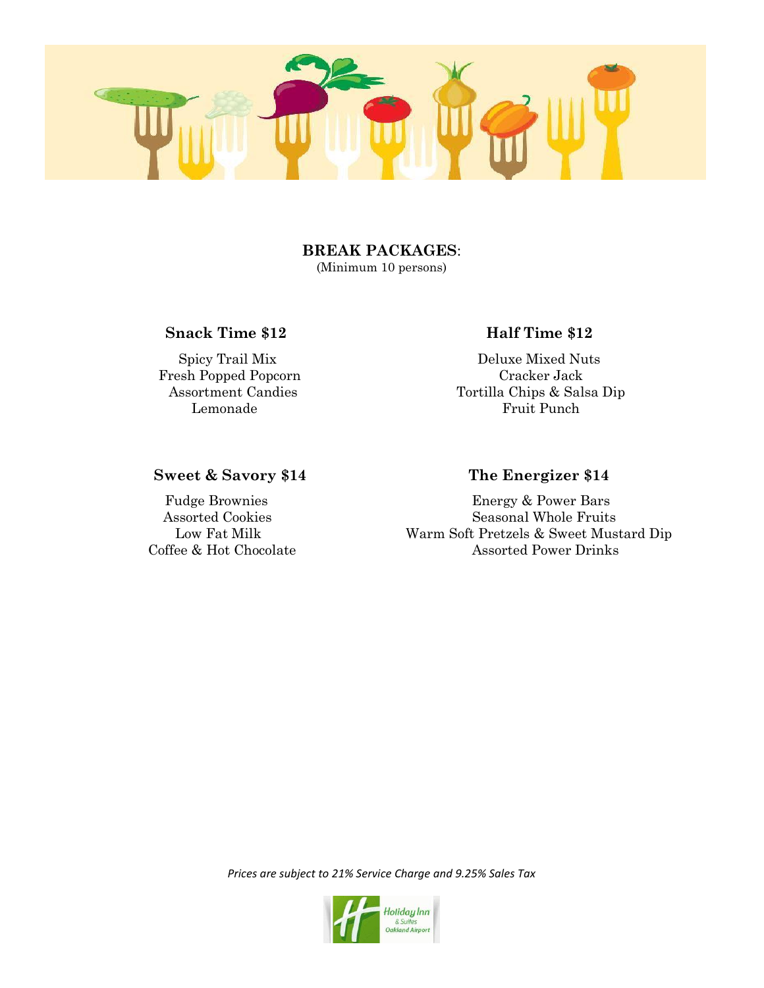

### **BREAK PACKAGES**: (Minimum 10 persons)

## **Snack Time \$12 Half Time** \$12

Fresh Popped Popcorn Cracker Jack

 Spicy Trail Mix Deluxe Mixed Nuts Assortment Candies Tortilla Chips & Salsa Dip Lemonade Fruit Punch

## **Sweet & Savory \$14 The Energizer \$14**

 Fudge Brownies Energy & Power Bars Assorted Cookies Seasonal Whole Fruits Low Fat Milk Warm Soft Pretzels & Sweet Mustard Dip Coffee & Hot Chocolate Assorted Power Drinks

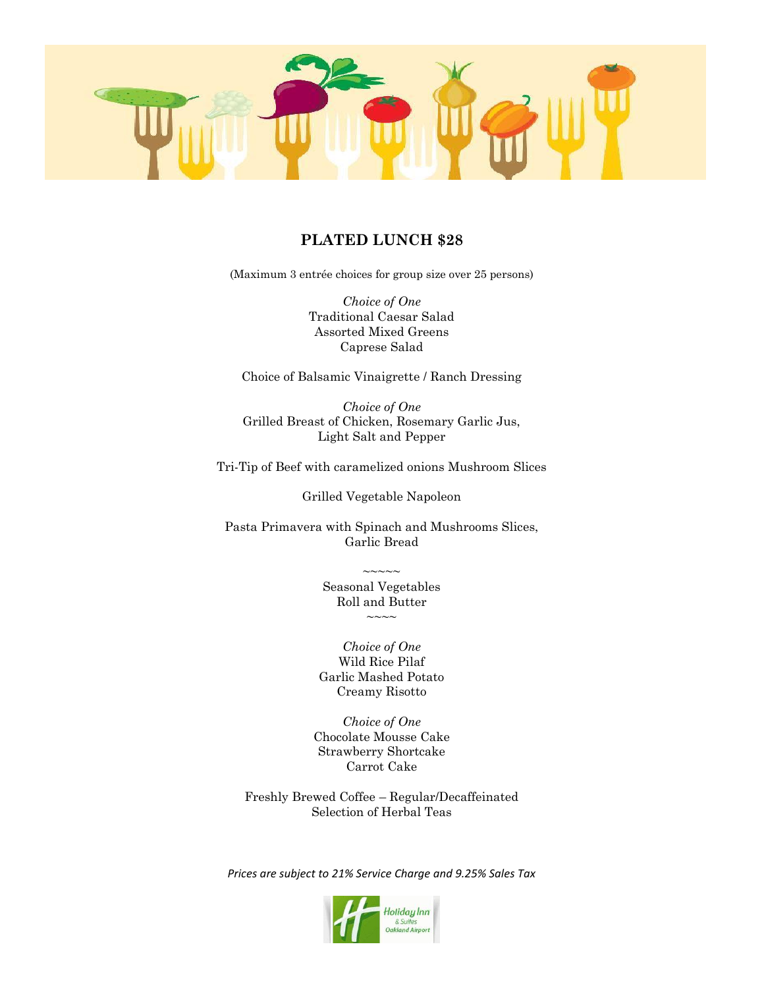

## **PLATED LUNCH \$28**

(Maximum 3 entrée choices for group size over 25 persons)

*Choice of One* Traditional Caesar Salad Assorted Mixed Greens Caprese Salad

Choice of Balsamic Vinaigrette / Ranch Dressing

*Choice of One* Grilled Breast of Chicken, Rosemary Garlic Jus, Light Salt and Pepper

Tri-Tip of Beef with caramelized onions Mushroom Slices

Grilled Vegetable Napoleon

Pasta Primavera with Spinach and Mushrooms Slices, Garlic Bread

> Seasonal Vegetables Roll and Butter  $\sim\sim\sim$

 $\sim\sim\sim\sim\sim$ 

*Choice of One* Wild Rice Pilaf Garlic Mashed Potato Creamy Risotto

*Choice of One* Chocolate Mousse Cake Strawberry Shortcake Carrot Cake

Freshly Brewed Coffee – Regular/Decaffeinated Selection of Herbal Teas

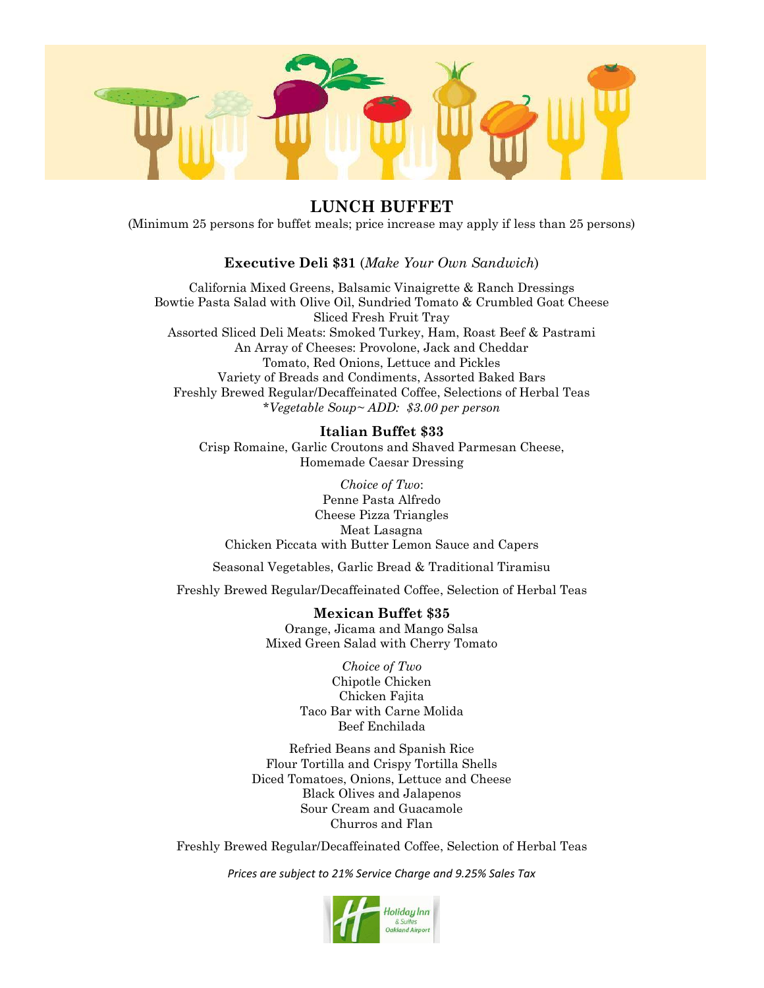

# **LUNCH BUFFET**

(Minimum 25 persons for buffet meals; price increase may apply if less than 25 persons)

## **Executive Deli \$31** (*Make Your Own Sandwich*)

California Mixed Greens, Balsamic Vinaigrette & Ranch Dressings Bowtie Pasta Salad with Olive Oil, Sundried Tomato & Crumbled Goat Cheese Sliced Fresh Fruit Tray Assorted Sliced Deli Meats: Smoked Turkey, Ham, Roast Beef & Pastrami An Array of Cheeses: Provolone, Jack and Cheddar Tomato, Red Onions, Lettuce and Pickles Variety of Breads and Condiments, Assorted Baked Bars Freshly Brewed Regular/Decaffeinated Coffee, Selections of Herbal Teas \**Vegetable Soup~ ADD: \$3.00 per person*

#### **Italian Buffet \$33**

Crisp Romaine, Garlic Croutons and Shaved Parmesan Cheese, Homemade Caesar Dressing

*Choice of Two*: Penne Pasta Alfredo Cheese Pizza Triangles Meat Lasagna Chicken Piccata with Butter Lemon Sauce and Capers

Seasonal Vegetables, Garlic Bread & Traditional Tiramisu

Freshly Brewed Regular/Decaffeinated Coffee, Selection of Herbal Teas

#### **Mexican Buffet \$35**

Orange, Jicama and Mango Salsa Mixed Green Salad with Cherry Tomato

> *Choice of Two* Chipotle Chicken Chicken Fajita Taco Bar with Carne Molida Beef Enchilada

Refried Beans and Spanish Rice Flour Tortilla and Crispy Tortilla Shells Diced Tomatoes, Onions, Lettuce and Cheese Black Olives and Jalapenos Sour Cream and Guacamole Churros and Flan

Freshly Brewed Regular/Decaffeinated Coffee, Selection of Herbal Teas

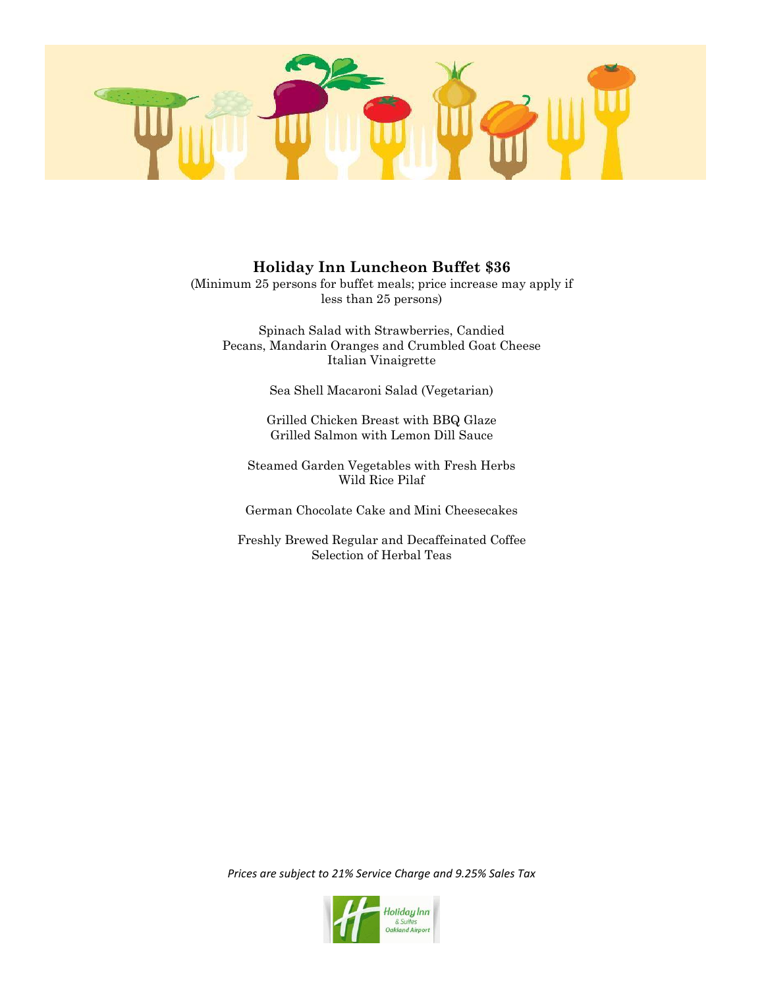

## **Holiday Inn Luncheon Buffet \$36**

(Minimum 25 persons for buffet meals; price increase may apply if less than 25 persons)

Spinach Salad with Strawberries, Candied Pecans, Mandarin Oranges and Crumbled Goat Cheese Italian Vinaigrette

Sea Shell Macaroni Salad (Vegetarian)

Grilled Chicken Breast with BBQ Glaze Grilled Salmon with Lemon Dill Sauce

Steamed Garden Vegetables with Fresh Herbs Wild Rice Pilaf

German Chocolate Cake and Mini Cheesecakes

Freshly Brewed Regular and Decaffeinated Coffee Selection of Herbal Teas

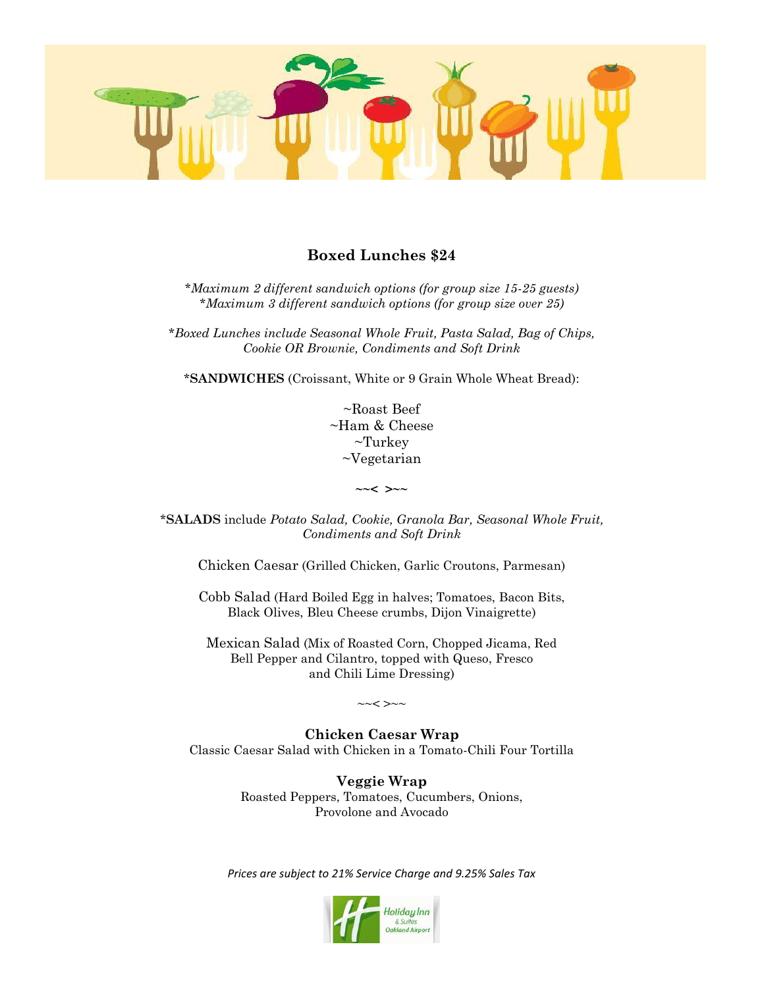

## **Boxed Lunches \$24**

*\*Maximum 2 different sandwich options (for group size 15-25 guests) \*Maximum 3 different sandwich options (for group size over 25)*

*\*Boxed Lunches include Seasonal Whole Fruit, Pasta Salad, Bag of Chips, Cookie OR Brownie, Condiments and Soft Drink*

\***SANDWICHES** (Croissant, White or 9 Grain Whole Wheat Bread):

~Roast Beef ~Ham & Cheese ~Turkey ~Vegetarian

**~~< >~~**

\***SALADS** include *Potato Salad, Cookie, Granola Bar, Seasonal Whole Fruit, Condiments and Soft Drink*

Chicken Caesar (Grilled Chicken, Garlic Croutons, Parmesan)

Cobb Salad (Hard Boiled Egg in halves; Tomatoes, Bacon Bits, Black Olives, Bleu Cheese crumbs, Dijon Vinaigrette)

Mexican Salad (Mix of Roasted Corn, Chopped Jicama, Red Bell Pepper and Cilantro, topped with Queso, Fresco and Chili Lime Dressing)

 $\sim <$   $>$ ~~

**Chicken Caesar Wrap** Classic Caesar Salad with Chicken in a Tomato-Chili Four Tortilla

> **Veggie Wrap** Roasted Peppers, Tomatoes, Cucumbers, Onions, Provolone and Avocado

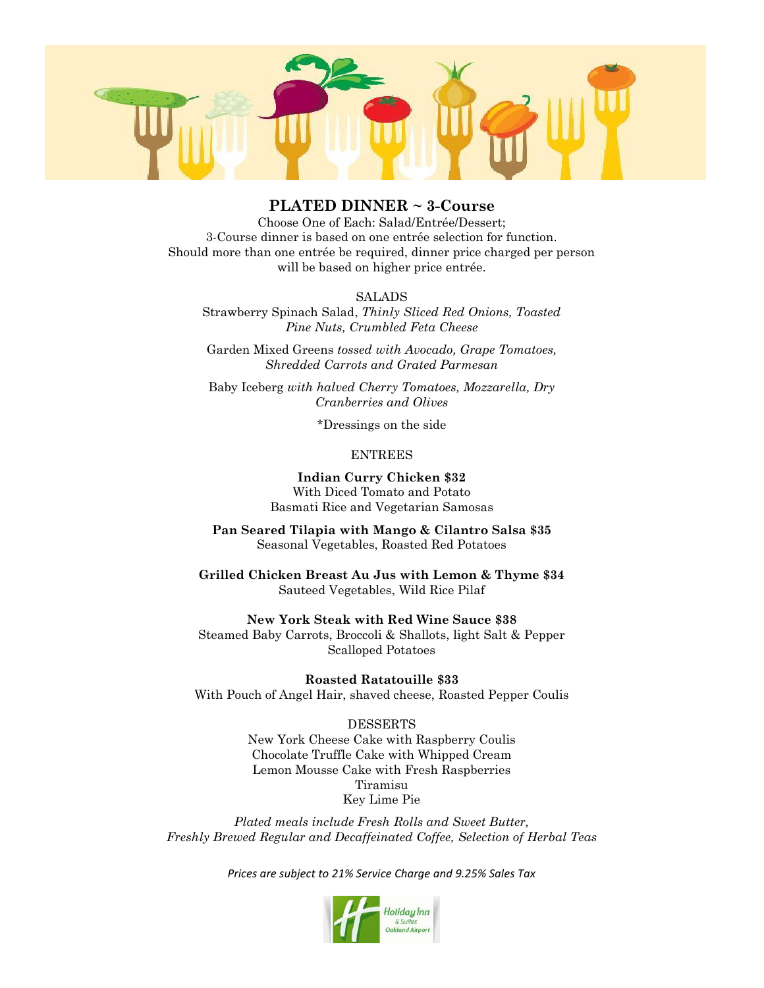

## **PLATED DINNER ~ 3-Course**

Choose One of Each: Salad/Entrée/Dessert; 3-Course dinner is based on one entrée selection for function. Should more than one entrée be required, dinner price charged per person will be based on higher price entrée.

#### **SALADS**

Strawberry Spinach Salad, *Thinly Sliced Red Onions, Toasted Pine Nuts, Crumbled Feta Cheese*

Garden Mixed Greens *tossed with Avocado, Grape Tomatoes, Shredded Carrots and Grated Parmesan*

Baby Iceberg *with halved Cherry Tomatoes, Mozzarella, Dry Cranberries and Olives*

\*Dressings on the side

#### ENTREES

#### **Indian Curry Chicken \$32** With Diced Tomato and Potato

Basmati Rice and Vegetarian Samosas

**Pan Seared Tilapia with Mango & Cilantro Salsa \$35** Seasonal Vegetables, Roasted Red Potatoes

**Grilled Chicken Breast Au Jus with Lemon & Thyme \$34** Sauteed Vegetables, Wild Rice Pilaf

**New York Steak with Red Wine Sauce \$38** Steamed Baby Carrots, Broccoli & Shallots, light Salt & Pepper

Scalloped Potatoes

**Roasted Ratatouille \$33** With Pouch of Angel Hair, shaved cheese, Roasted Pepper Coulis

#### DESSERTS

New York Cheese Cake with Raspberry Coulis Chocolate Truffle Cake with Whipped Cream Lemon Mousse Cake with Fresh Raspberries Tiramisu Key Lime Pie

*Plated meals include Fresh Rolls and Sweet Butter, Freshly Brewed Regular and Decaffeinated Coffee, Selection of Herbal Teas*

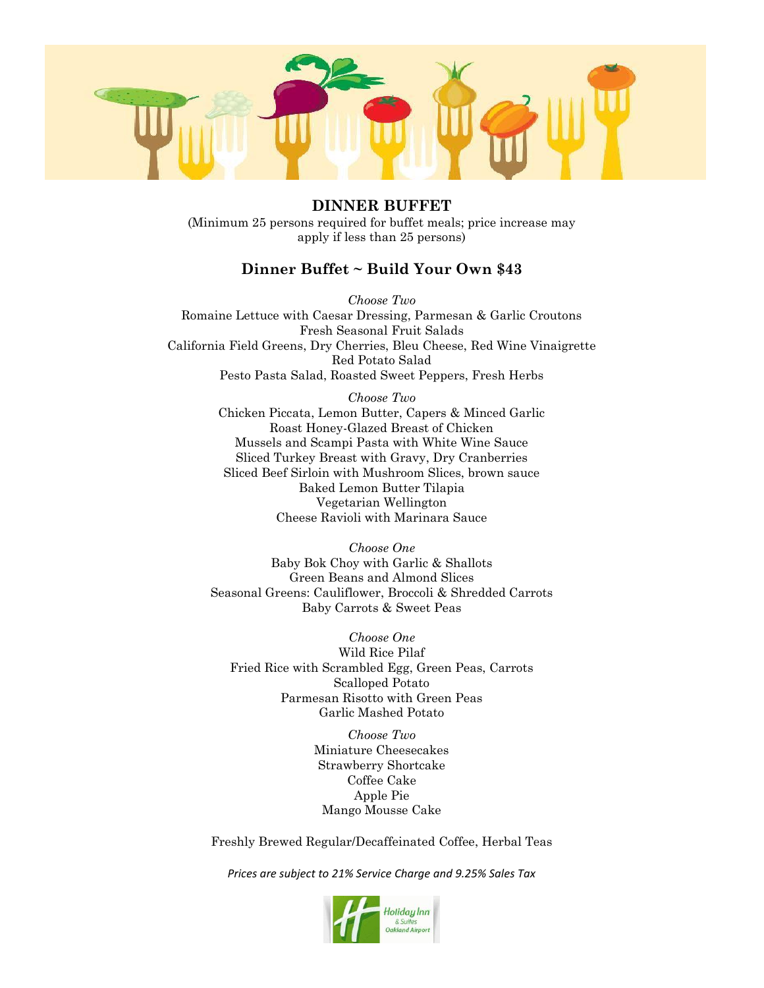

**DINNER BUFFET** (Minimum 25 persons required for buffet meals; price increase may apply if less than 25 persons)

## **Dinner Buffet ~ Build Your Own \$43**

*Choose Two* Romaine Lettuce with Caesar Dressing, Parmesan & Garlic Croutons Fresh Seasonal Fruit Salads California Field Greens, Dry Cherries, Bleu Cheese, Red Wine Vinaigrette Red Potato Salad Pesto Pasta Salad, Roasted Sweet Peppers, Fresh Herbs

> *Choose Two* Chicken Piccata, Lemon Butter, Capers & Minced Garlic Roast Honey-Glazed Breast of Chicken Mussels and Scampi Pasta with White Wine Sauce Sliced Turkey Breast with Gravy, Dry Cranberries Sliced Beef Sirloin with Mushroom Slices, brown sauce Baked Lemon Butter Tilapia Vegetarian Wellington Cheese Ravioli with Marinara Sauce

*Choose One* Baby Bok Choy with Garlic & Shallots Green Beans and Almond Slices Seasonal Greens: Cauliflower, Broccoli & Shredded Carrots Baby Carrots & Sweet Peas

*Choose One* Wild Rice Pilaf Fried Rice with Scrambled Egg, Green Peas, Carrots Scalloped Potato Parmesan Risotto with Green Peas Garlic Mashed Potato

> *Choose Two* Miniature Cheesecakes Strawberry Shortcake Coffee Cake Apple Pie Mango Mousse Cake

Freshly Brewed Regular/Decaffeinated Coffee, Herbal Teas

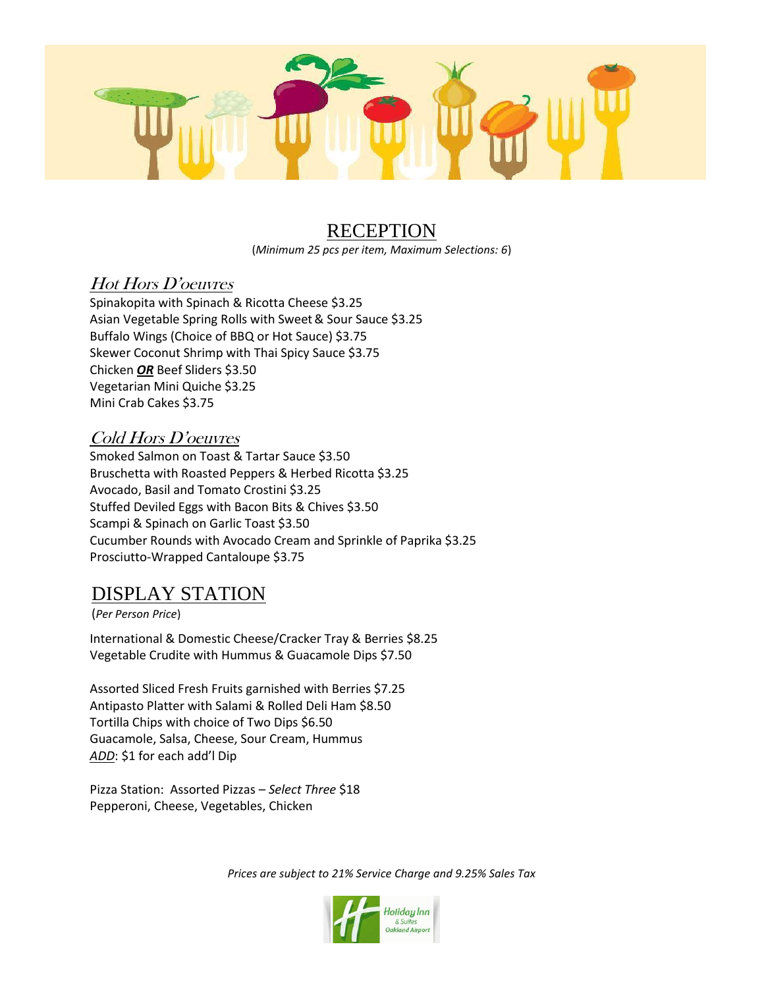

# **RECEPTION**

(*Minimum 25 pcs per item, Maximum Selections: 6*)

# Hot Hors D'oeuvres

Spinakopita with Spinach & Ricotta Cheese \$3.25 Asian Vegetable Spring Rolls with Sweet& Sour Sauce \$3.25 Buffalo Wings (Choice of BBQ or Hot Sauce) \$3.75 Skewer Coconut Shrimp with Thai Spicy Sauce \$3.75 Chicken *OR* Beef Sliders \$3.50 Vegetarian Mini Quiche \$3.25 Mini Crab Cakes \$3.75

# Cold Hors D'oeuvres

Smoked Salmon on Toast & Tartar Sauce \$3.50 Bruschetta with Roasted Peppers & Herbed Ricotta \$3.25 Avocado, Basil and Tomato Crostini \$3.25 Stuffed Deviled Eggs with Bacon Bits & Chives \$3.50 Scampi & Spinach on Garlic Toast \$3.50 Cucumber Rounds with Avocado Cream and Sprinkle of Paprika \$3.25 Prosciutto-Wrapped Cantaloupe \$3.75

# DISPLAY STATION

(*Per Person Price*)

International & Domestic Cheese/Cracker Tray & Berries \$8.25 Vegetable Crudite with Hummus & Guacamole Dips \$7.50

Assorted Sliced Fresh Fruits garnished with Berries \$7.25 Antipasto Platter with Salami & Rolled Deli Ham \$8.50 Tortilla Chips with choice of Two Dips \$6.50 Guacamole, Salsa, Cheese, Sour Cream, Hummus *ADD*: \$1 for each add'l Dip

Pizza Station: Assorted Pizzas – *Select Three* \$18 Pepperoni, Cheese, Vegetables, Chicken

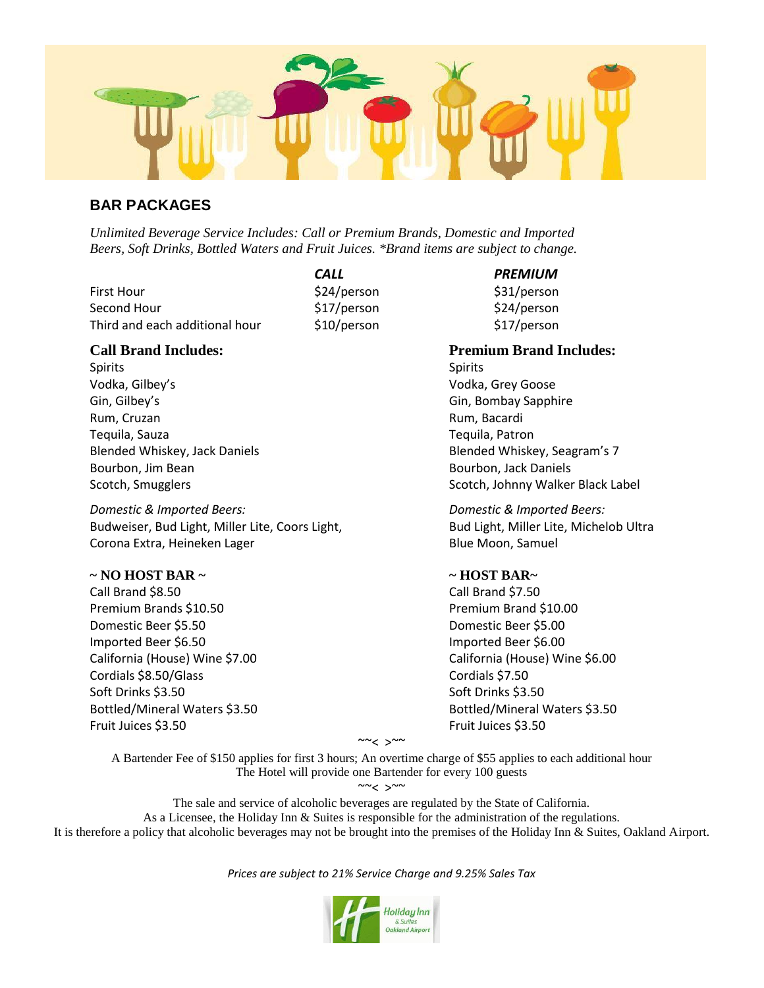

## **BAR PACKAGES**

*Unlimited Beverage Service Includes: Call or Premium Brands, Domestic and Imported Beers, Soft Drinks, Bottled Waters and Fruit Juices. \*Brand items are subject to change.*

First Hour **624/person** \$24/person \$31/person Second Hour  $$17/person$  \$24/person Third and each additional hour \$10/person \$17/person

Spirits Spirits Spirits Spirits Spirits Spirits Spirits Spirits Spirits Spirits Spirits Vodka, Gilbey's Vodka, Grey Goose Gin, Gilbey's Gin, Bombay Sapphire Rum, Cruzan **Rum, Bacardi** Tequila, Sauza Tequila, Patron Bourbon, Jim Bean **Bourbon, Jack Daniels** Bourbon, Jack Daniels Scotch, Smugglers Scotch, Johnny Walker Black Label

*Domestic & Imported Beers: Domestic & Imported Beers:* Budweiser, Bud Light, Miller Lite, Coors Light, Bud Light, Miller Lite, Michelob Ultra Corona Extra, Heineken Lager Blue Moon, Samuel

#### **~ NO HOST BAR ~ ~ HOST BAR~**

Call Brand \$8.50 Call Brand \$7.50 Premium Brands \$10.50 Premium Brand \$10.00 Domestic Beer \$5.50 Domestic Beer \$5.00 Imported Beer \$6.50 **Imported Beer \$6.00** California (House) Wine \$7.00 California (House) Wine \$6.00 Cordials \$8.50/Glass Cordials \$7.50 Soft Drinks \$3.50 Soft Drinks \$3.50 Bottled/Mineral Waters \$3.50 Bottled/Mineral Waters \$3.50 Fruit Juices \$3.50 Fruit Juices \$3.50

*CALL PREMIUM*

**Call Brand Includes: Premium Brand Includes:** Blended Whiskey, Jack Daniels Blended Whiskey, Seagram's 7

~~< >~~

A Bartender Fee of \$150 applies for first 3 hours; An overtime charge of \$55 applies to each additional hour The Hotel will provide one Bartender for every 100 guests

 $\sim$   $<$   $>$   $\sim$ 

The sale and service of alcoholic beverages are regulated by the State of California. As a Licensee, the Holiday Inn & Suites is responsible for the administration of the regulations. It is therefore a policy that alcoholic beverages may not be brought into the premises of the Holiday Inn & Suites, Oakland Airport.